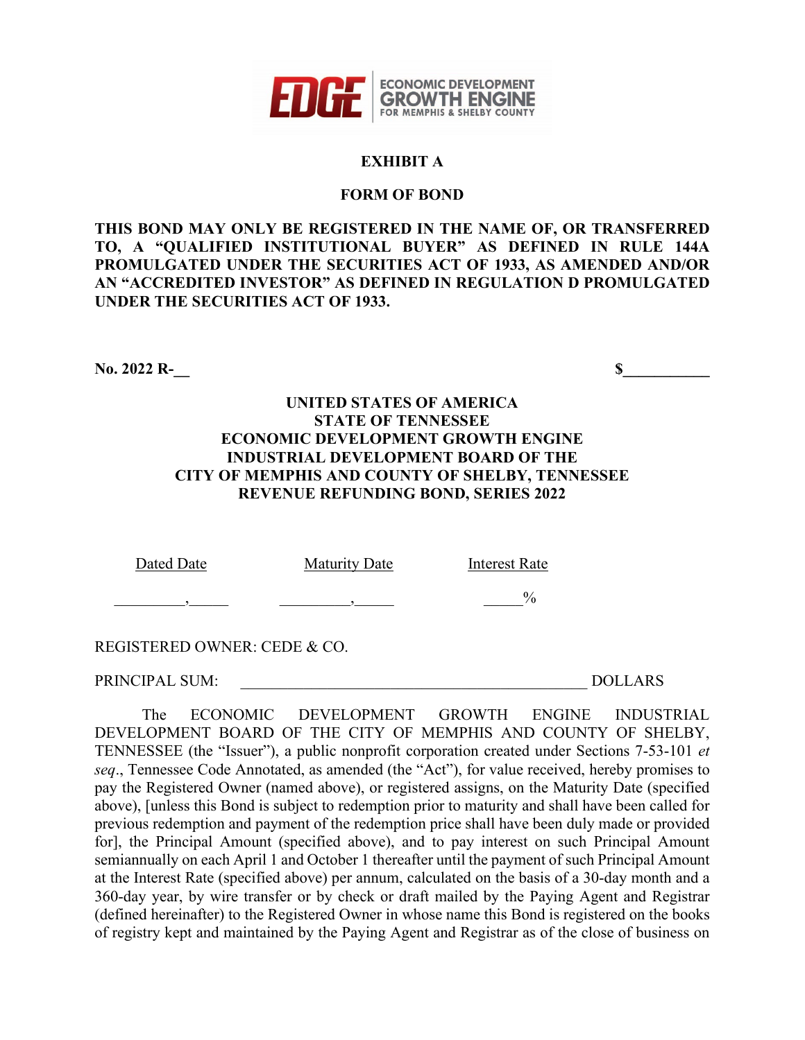

### **EXHIBIT A**

#### **FORM OF BOND**

**THIS BOND MAY ONLY BE REGISTERED IN THE NAME OF, OR TRANSFERRED TO, A "QUALIFIED INSTITUTIONAL BUYER" AS DEFINED IN RULE 144A PROMULGATED UNDER THE SECURITIES ACT OF 1933, AS AMENDED AND/OR AN "ACCREDITED INVESTOR" AS DEFINED IN REGULATION D PROMULGATED UNDER THE SECURITIES ACT OF 1933.** 

No. 2022 R-

### **UNITED STATES OF AMERICA STATE OF TENNESSEE ECONOMIC DEVELOPMENT GROWTH ENGINE INDUSTRIAL DEVELOPMENT BOARD OF THE CITY OF MEMPHIS AND COUNTY OF SHELBY, TENNESSEE REVENUE REFUNDING BOND, SERIES 2022**

Dated Date Maturity Date Interest Rate  $\qquad \qquad \overline{\phantom{a}}\qquad \qquad \overline{\phantom{a}}\qquad \qquad \overline{\phantom{a}}\qquad \qquad \overline{\phantom{a}}\qquad \qquad \overline{\phantom{a}}\qquad \qquad \overline{\phantom{a}}\qquad \qquad \overline{\phantom{a}}\qquad \qquad \overline{\phantom{a}}\qquad \qquad \overline{\phantom{a}}\qquad \qquad \overline{\phantom{a}}\qquad \qquad \overline{\phantom{a}}\qquad \qquad \overline{\phantom{a}}\qquad \qquad \overline{\phantom{a}}\qquad \qquad \overline{\phantom{a}}\qquad \qquad \overline{\$ 

REGISTERED OWNER: CEDE & CO.

PRINCIPAL SUM: \_\_\_\_\_\_\_\_\_\_\_\_\_\_\_\_\_\_\_\_\_\_\_\_\_\_\_\_\_\_\_\_\_\_\_\_\_\_\_\_\_\_\_\_ DOLLARS

The ECONOMIC DEVELOPMENT GROWTH ENGINE INDUSTRIAL DEVELOPMENT BOARD OF THE CITY OF MEMPHIS AND COUNTY OF SHELBY, TENNESSEE (the "Issuer"), a public nonprofit corporation created under Sections 7-53-101 *et seq*., Tennessee Code Annotated, as amended (the "Act"), for value received, hereby promises to pay the Registered Owner (named above), or registered assigns, on the Maturity Date (specified above), [unless this Bond is subject to redemption prior to maturity and shall have been called for previous redemption and payment of the redemption price shall have been duly made or provided for], the Principal Amount (specified above), and to pay interest on such Principal Amount semiannually on each April 1 and October 1 thereafter until the payment of such Principal Amount at the Interest Rate (specified above) per annum, calculated on the basis of a 30-day month and a 360-day year, by wire transfer or by check or draft mailed by the Paying Agent and Registrar (defined hereinafter) to the Registered Owner in whose name this Bond is registered on the books of registry kept and maintained by the Paying Agent and Registrar as of the close of business on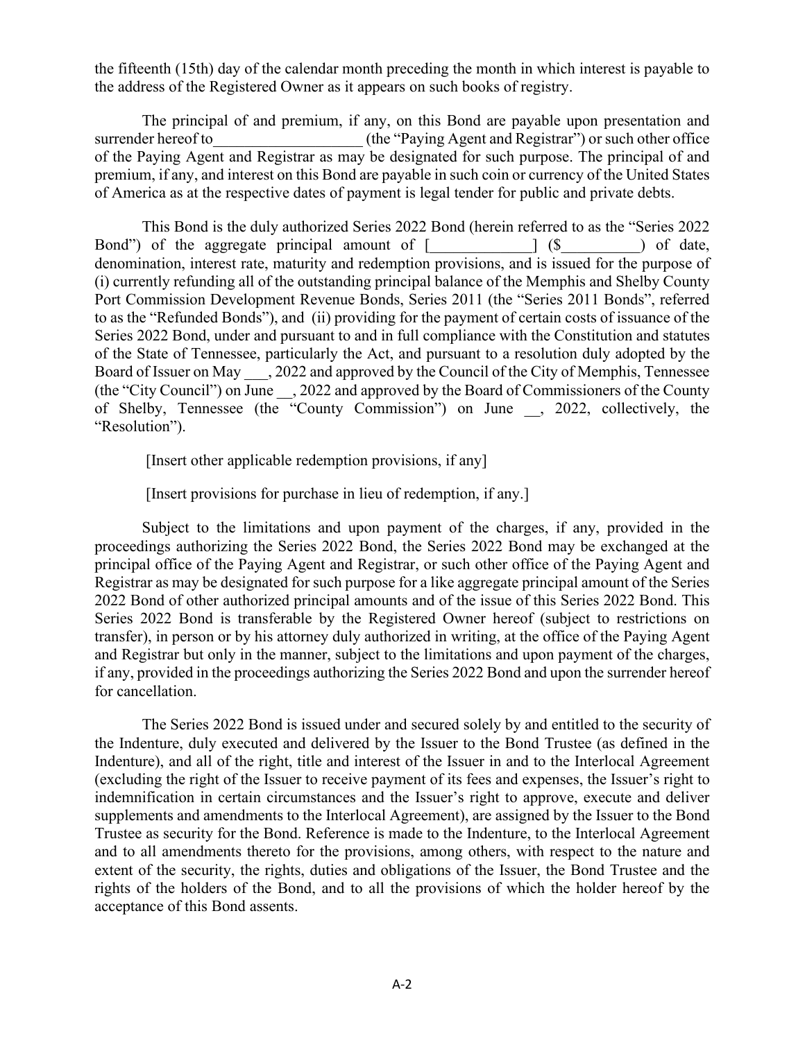the fifteenth (15th) day of the calendar month preceding the month in which interest is payable to the address of the Registered Owner as it appears on such books of registry.

The principal of and premium, if any, on this Bond are payable upon presentation and surrender hereof to  $($ the "Paying Agent and Registrar") or such other office of the Paying Agent and Registrar as may be designated for such purpose. The principal of and premium, if any, and interest on this Bond are payable in such coin or currency of the United States of America as at the respective dates of payment is legal tender for public and private debts.

This Bond is the duly authorized Series 2022 Bond (herein referred to as the "Series 2022 Bond") of the aggregate principal amount of  $\lceil \cdot \cdot \cdot \rceil$  (\$ ) of date, denomination, interest rate, maturity and redemption provisions, and is issued for the purpose of (i) currently refunding all of the outstanding principal balance of the Memphis and Shelby County Port Commission Development Revenue Bonds, Series 2011 (the "Series 2011 Bonds", referred to as the "Refunded Bonds"), and (ii) providing for the payment of certain costs of issuance of the Series 2022 Bond, under and pursuant to and in full compliance with the Constitution and statutes of the State of Tennessee, particularly the Act, and pursuant to a resolution duly adopted by the Board of Issuer on May  $\qquad$ , 2022 and approved by the Council of the City of Memphis, Tennessee (the "City Council") on June \_\_, 2022 and approved by the Board of Commissioners of the County of Shelby, Tennessee (the "County Commission") on June \_\_, 2022, collectively, the "Resolution").

[Insert other applicable redemption provisions, if any]

[Insert provisions for purchase in lieu of redemption, if any.]

Subject to the limitations and upon payment of the charges, if any, provided in the proceedings authorizing the Series 2022 Bond, the Series 2022 Bond may be exchanged at the principal office of the Paying Agent and Registrar, or such other office of the Paying Agent and Registrar as may be designated for such purpose for a like aggregate principal amount of the Series 2022 Bond of other authorized principal amounts and of the issue of this Series 2022 Bond. This Series 2022 Bond is transferable by the Registered Owner hereof (subject to restrictions on transfer), in person or by his attorney duly authorized in writing, at the office of the Paying Agent and Registrar but only in the manner, subject to the limitations and upon payment of the charges, if any, provided in the proceedings authorizing the Series 2022 Bond and upon the surrender hereof for cancellation.

The Series 2022 Bond is issued under and secured solely by and entitled to the security of the Indenture, duly executed and delivered by the Issuer to the Bond Trustee (as defined in the Indenture), and all of the right, title and interest of the Issuer in and to the Interlocal Agreement (excluding the right of the Issuer to receive payment of its fees and expenses, the Issuer's right to indemnification in certain circumstances and the Issuer's right to approve, execute and deliver supplements and amendments to the Interlocal Agreement), are assigned by the Issuer to the Bond Trustee as security for the Bond. Reference is made to the Indenture, to the Interlocal Agreement and to all amendments thereto for the provisions, among others, with respect to the nature and extent of the security, the rights, duties and obligations of the Issuer, the Bond Trustee and the rights of the holders of the Bond, and to all the provisions of which the holder hereof by the acceptance of this Bond assents.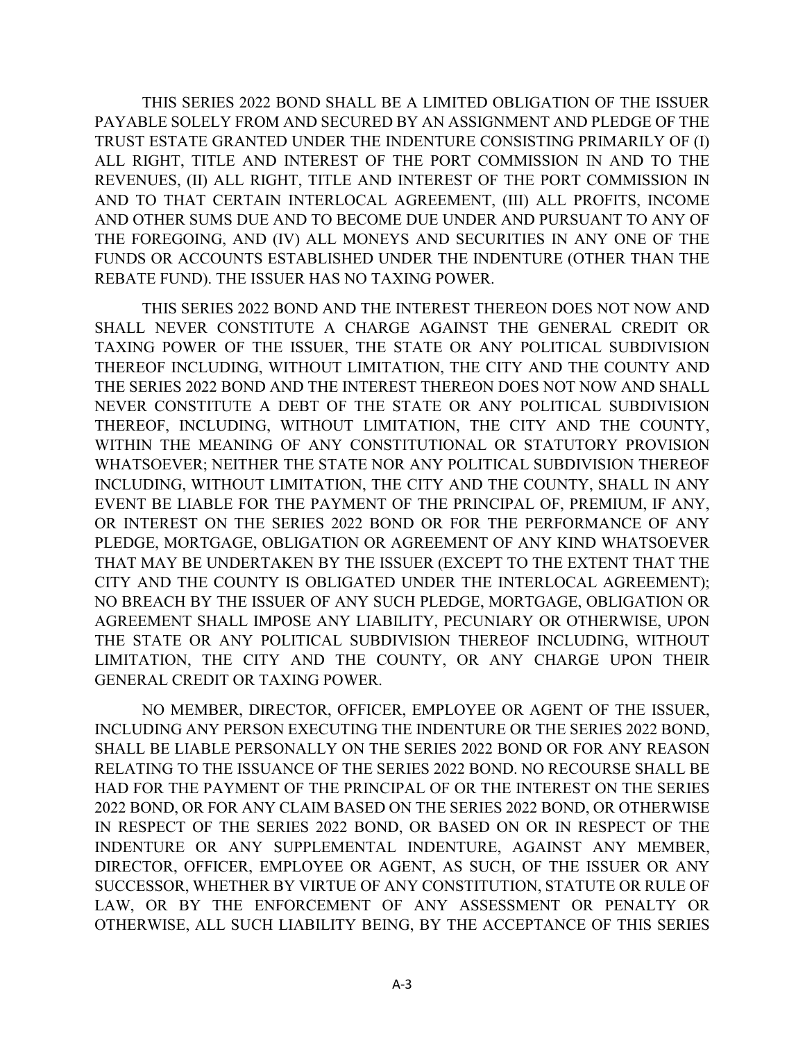THIS SERIES 2022 BOND SHALL BE A LIMITED OBLIGATION OF THE ISSUER PAYABLE SOLELY FROM AND SECURED BY AN ASSIGNMENT AND PLEDGE OF THE TRUST ESTATE GRANTED UNDER THE INDENTURE CONSISTING PRIMARILY OF (I) ALL RIGHT, TITLE AND INTEREST OF THE PORT COMMISSION IN AND TO THE REVENUES, (II) ALL RIGHT, TITLE AND INTEREST OF THE PORT COMMISSION IN AND TO THAT CERTAIN INTERLOCAL AGREEMENT, (III) ALL PROFITS, INCOME AND OTHER SUMS DUE AND TO BECOME DUE UNDER AND PURSUANT TO ANY OF THE FOREGOING, AND (IV) ALL MONEYS AND SECURITIES IN ANY ONE OF THE FUNDS OR ACCOUNTS ESTABLISHED UNDER THE INDENTURE (OTHER THAN THE REBATE FUND). THE ISSUER HAS NO TAXING POWER.

THIS SERIES 2022 BOND AND THE INTEREST THEREON DOES NOT NOW AND SHALL NEVER CONSTITUTE A CHARGE AGAINST THE GENERAL CREDIT OR TAXING POWER OF THE ISSUER, THE STATE OR ANY POLITICAL SUBDIVISION THEREOF INCLUDING, WITHOUT LIMITATION, THE CITY AND THE COUNTY AND THE SERIES 2022 BOND AND THE INTEREST THEREON DOES NOT NOW AND SHALL NEVER CONSTITUTE A DEBT OF THE STATE OR ANY POLITICAL SUBDIVISION THEREOF, INCLUDING, WITHOUT LIMITATION, THE CITY AND THE COUNTY, WITHIN THE MEANING OF ANY CONSTITUTIONAL OR STATUTORY PROVISION WHATSOEVER; NEITHER THE STATE NOR ANY POLITICAL SUBDIVISION THEREOF INCLUDING, WITHOUT LIMITATION, THE CITY AND THE COUNTY, SHALL IN ANY EVENT BE LIABLE FOR THE PAYMENT OF THE PRINCIPAL OF, PREMIUM, IF ANY, OR INTEREST ON THE SERIES 2022 BOND OR FOR THE PERFORMANCE OF ANY PLEDGE, MORTGAGE, OBLIGATION OR AGREEMENT OF ANY KIND WHATSOEVER THAT MAY BE UNDERTAKEN BY THE ISSUER (EXCEPT TO THE EXTENT THAT THE CITY AND THE COUNTY IS OBLIGATED UNDER THE INTERLOCAL AGREEMENT); NO BREACH BY THE ISSUER OF ANY SUCH PLEDGE, MORTGAGE, OBLIGATION OR AGREEMENT SHALL IMPOSE ANY LIABILITY, PECUNIARY OR OTHERWISE, UPON THE STATE OR ANY POLITICAL SUBDIVISION THEREOF INCLUDING, WITHOUT LIMITATION, THE CITY AND THE COUNTY, OR ANY CHARGE UPON THEIR GENERAL CREDIT OR TAXING POWER.

NO MEMBER, DIRECTOR, OFFICER, EMPLOYEE OR AGENT OF THE ISSUER, INCLUDING ANY PERSON EXECUTING THE INDENTURE OR THE SERIES 2022 BOND, SHALL BE LIABLE PERSONALLY ON THE SERIES 2022 BOND OR FOR ANY REASON RELATING TO THE ISSUANCE OF THE SERIES 2022 BOND. NO RECOURSE SHALL BE HAD FOR THE PAYMENT OF THE PRINCIPAL OF OR THE INTEREST ON THE SERIES 2022 BOND, OR FOR ANY CLAIM BASED ON THE SERIES 2022 BOND, OR OTHERWISE IN RESPECT OF THE SERIES 2022 BOND, OR BASED ON OR IN RESPECT OF THE INDENTURE OR ANY SUPPLEMENTAL INDENTURE, AGAINST ANY MEMBER, DIRECTOR, OFFICER, EMPLOYEE OR AGENT, AS SUCH, OF THE ISSUER OR ANY SUCCESSOR, WHETHER BY VIRTUE OF ANY CONSTITUTION, STATUTE OR RULE OF LAW, OR BY THE ENFORCEMENT OF ANY ASSESSMENT OR PENALTY OR OTHERWISE, ALL SUCH LIABILITY BEING, BY THE ACCEPTANCE OF THIS SERIES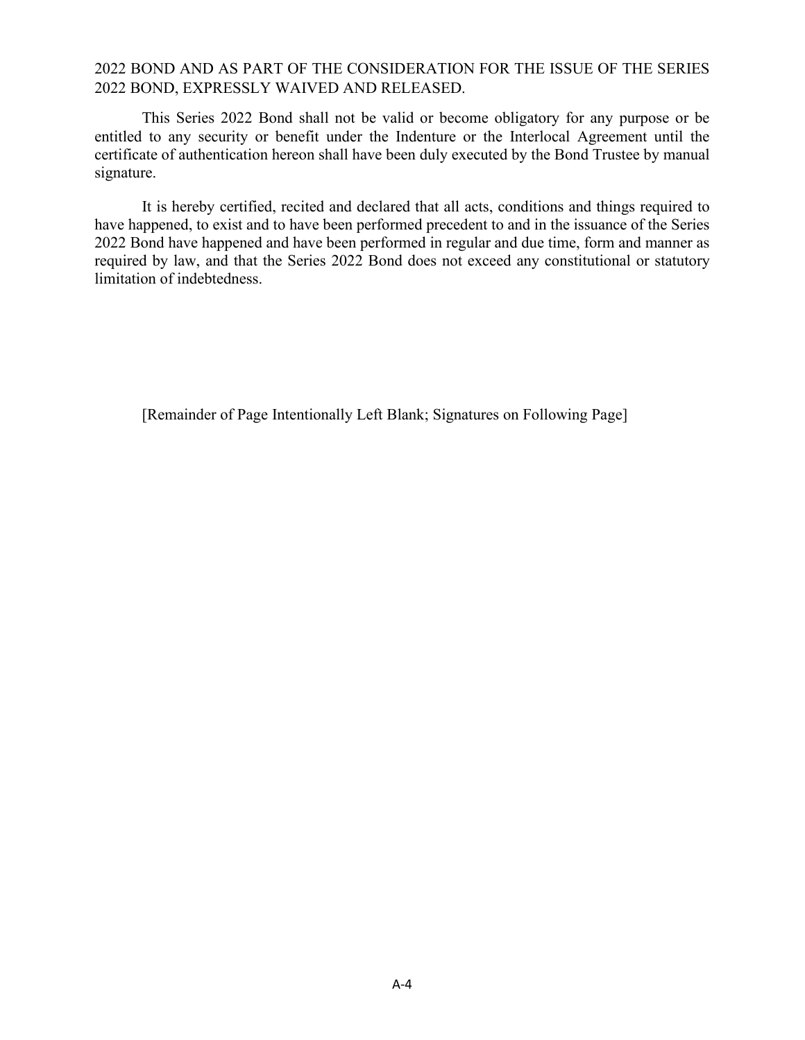## 2022 BOND AND AS PART OF THE CONSIDERATION FOR THE ISSUE OF THE SERIES 2022 BOND, EXPRESSLY WAIVED AND RELEASED.

This Series 2022 Bond shall not be valid or become obligatory for any purpose or be entitled to any security or benefit under the Indenture or the Interlocal Agreement until the certificate of authentication hereon shall have been duly executed by the Bond Trustee by manual signature.

It is hereby certified, recited and declared that all acts, conditions and things required to have happened, to exist and to have been performed precedent to and in the issuance of the Series 2022 Bond have happened and have been performed in regular and due time, form and manner as required by law, and that the Series 2022 Bond does not exceed any constitutional or statutory limitation of indebtedness.

[Remainder of Page Intentionally Left Blank; Signatures on Following Page]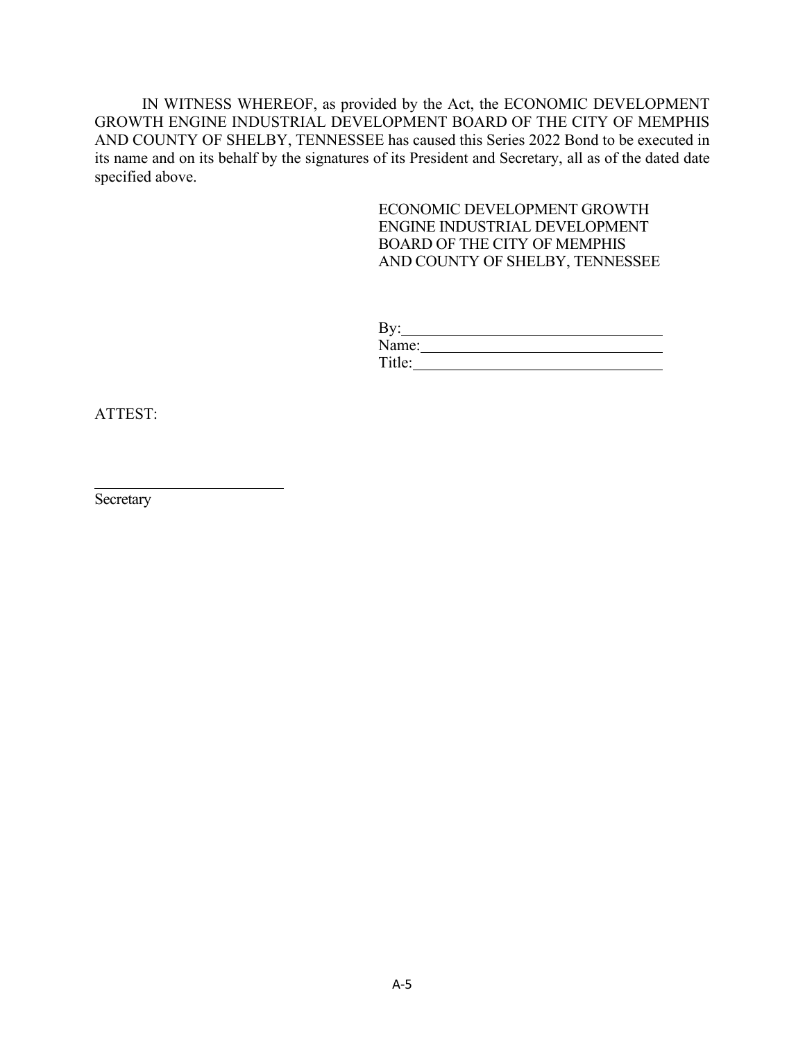IN WITNESS WHEREOF, as provided by the Act, the ECONOMIC DEVELOPMENT GROWTH ENGINE INDUSTRIAL DEVELOPMENT BOARD OF THE CITY OF MEMPHIS AND COUNTY OF SHELBY, TENNESSEE has caused this Series 2022 Bond to be executed in its name and on its behalf by the signatures of its President and Secretary, all as of the dated date specified above.

### ECONOMIC DEVELOPMENT GROWTH ENGINE INDUSTRIAL DEVELOPMENT BOARD OF THE CITY OF MEMPHIS AND COUNTY OF SHELBY, TENNESSEE

| By:    |  |
|--------|--|
| Name:  |  |
| Title: |  |

ATTEST:

Secretary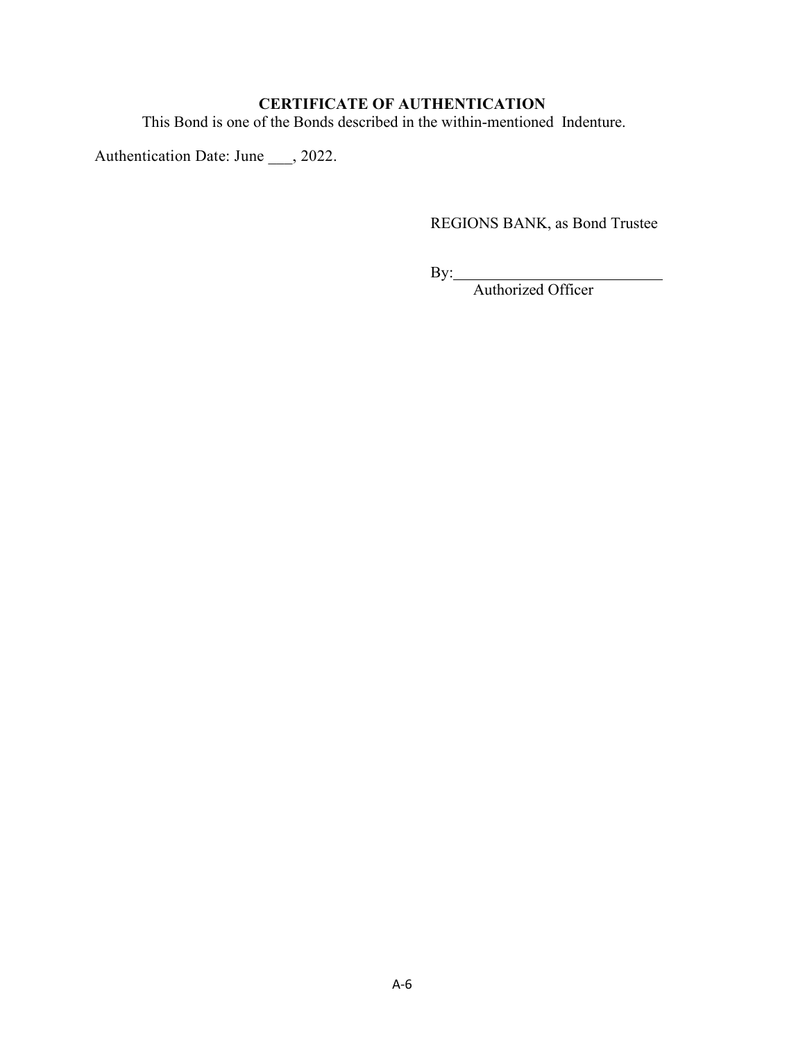# **CERTIFICATE OF AUTHENTICATION**

This Bond is one of the Bonds described in the within-mentioned Indenture.

Authentication Date: June \_\_\_, 2022.

REGIONS BANK, as Bond Trustee

By:

Authorized Officer